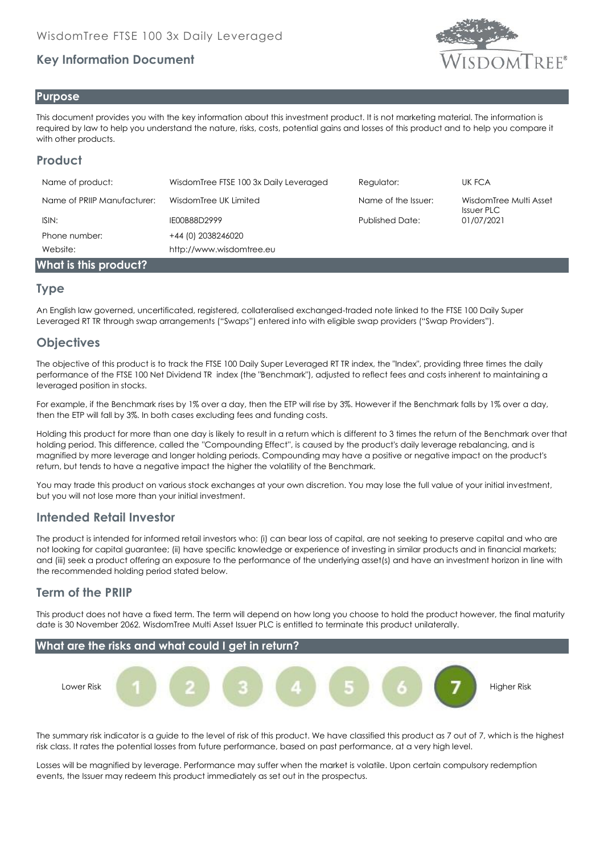# **Key Information Document**



#### **Purpose**

This document provides you with the key information about this investment product. It is not marketing material. The information is required by law to help you understand the nature, risks, costs, potential gains and losses of this product and to help you compare it with other products.

# **Product**

| Name of product:            | WisdomTree FTSE 100 3x Daily Leveraged | Regulator:             | UK FCA                                      |
|-----------------------------|----------------------------------------|------------------------|---------------------------------------------|
| Name of PRIIP Manufacturer: | WisdomTree UK Limited                  | Name of the Issuer:    | WisdomTree Multi Asset<br><b>Issuer PLC</b> |
| ISIN:                       | IE00B88D2999                           | <b>Published Date:</b> | 01/07/2021                                  |
| Phone number:               | +44 (0) 2038246020                     |                        |                                             |
| Website:                    | http://www.wisdomtree.eu               |                        |                                             |
| What is this product?       |                                        |                        |                                             |

#### **Type**

An English law governed, uncertificated, registered, collateralised exchanged-traded note linked to the FTSE 100 Daily Super Leveraged RT TR through swap arrangements ("Swaps") entered into with eligible swap providers ("Swap Providers").

## **Objectives**

The objective of this product is to track the FTSE 100 Daily Super Leveraged RT TR index, the "Index", providing three times the daily performance of the FTSE 100 Net Dividend TR index (the "Benchmark"), adjusted to reflect fees and costs inherent to maintaining a leveraged position in stocks.

For example, if the Benchmark rises by 1% over a day, then the ETP will rise by 3%. However if the Benchmark falls by 1% over a day, then the ETP will fall by 3%. In both cases excluding fees and funding costs.

Holding this product for more than one day is likely to result in a return which is different to 3 times the return of the Benchmark over that holding period. This difference, called the ''Compounding Effect'', is caused by the product's daily leverage rebalancing, and is magnified by more leverage and longer holding periods. Compounding may have a positive or negative impact on the product's return, but tends to have a negative impact the higher the volatility of the Benchmark.

You may trade this product on various stock exchanges at your own discretion. You may lose the full value of your initial investment, but you will not lose more than your initial investment.

### **Intended Retail Investor**

The product is intended for informed retail investors who: (i) can bear loss of capital, are not seeking to preserve capital and who are not looking for capital guarantee; (ii) have specific knowledge or experience of investing in similar products and in financial markets; and (iii) seek a product offering an exposure to the performance of the underlying asset(s) and have an investment horizon in line with the recommended holding period stated below.

### **Term of the PRIIP**

This product does not have a fixed term. The term will depend on how long you choose to hold the product however, the final maturity date is 30 November 2062. WisdomTree Multi Asset Issuer PLC is entitled to terminate this product unilaterally.



The summary risk indicator is a guide to the level of risk of this product. We have classified this product as 7 out of 7, which is the highest risk class. It rates the potential losses from future performance, based on past performance, at a very high level.

Losses will be magnified by leverage. Performance may suffer when the market is volatile. Upon certain compulsory redemption events, the Issuer may redeem this product immediately as set out in the prospectus.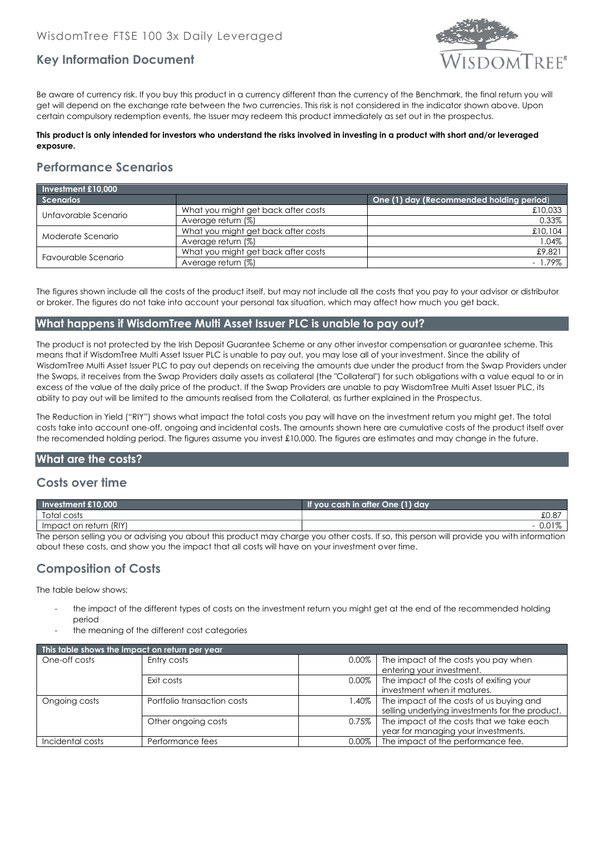

## **Key Information Document**

Be aware of currency risk. If you buy this product in a currency different than the currency of the Benchmark, the final return you will get will depend on the exchange rate between the two currencies. This risk is not considered in the indicator shown above. Upon certain compulsory redemption events, the Issuer may redeem this product immediately as set out in the prospectus.

#### **This product is only intended for investors who understand the risks involved in investing in a product with short and/or leveraged exposure.**

# **Performance Scenarios**

| Investment £10,000   |                                     |                                          |  |  |
|----------------------|-------------------------------------|------------------------------------------|--|--|
| <b>Scenarios</b>     |                                     | One (1) day (Recommended holding period) |  |  |
| Unfavorable Scenario | What you might get back after costs | £10,033                                  |  |  |
|                      | Average return (%)                  | 0.33%                                    |  |  |
| Moderate Scenario    | What you might get back after costs | £10,104                                  |  |  |
|                      | Average return (%)                  | 1.04%                                    |  |  |
| Favourable Scenario  | What you might get back after costs | £9,821                                   |  |  |
|                      | Average return (%)                  | l.79%                                    |  |  |

The figures shown include all the costs of the product itself, but may not include all the costs that you pay to your advisor or distributor or broker. The figures do not take into account your personal tax situation, which may affect how much you get back.

#### **What happens if WisdomTree Multi Asset Issuer PLC is unable to pay out?**

The product is not protected by the Irish Deposit Guarantee Scheme or any other investor compensation or guarantee scheme. This means that if WisdomTree Multi Asset Issuer PLC is unable to pay out, you may lose all of your investment. Since the ability of WisdomTree Multi Asset Issuer PLC to pay out depends on receiving the amounts due under the product from the Swap Providers under the Swaps, it receives from the Swap Providers daily assets as collateral (the "Collateral") for such obligations with a value equal to or in excess of the value of the daily price of the product. If the Swap Providers are unable to pay WisdomTree Multi Asset Issuer PLC, its ability to pay out will be limited to the amounts realised from the Collateral, as further explained in the Prospectus.

The Reduction in Yield ("RIY") shows what impact the total costs you pay will have on the investment return you might get. The total costs take into account one-off, ongoing and incidental costs. The amounts shown here are cumulative costs of the product itself over the recomended holding period. The figures assume you invest £10,000. The figures are estimates and may change in the future.

#### **What are the costs?**

#### **Costs over time**

| Investment $£10.000$                                                                                                                       | If you cash in after One (1) day |  |  |
|--------------------------------------------------------------------------------------------------------------------------------------------|----------------------------------|--|--|
| Total costs                                                                                                                                |                                  |  |  |
| Impact on return (RIY)                                                                                                                     |                                  |  |  |
| The person selling you or advising you about this product may charge you other costs. If so, this person will provide you with information |                                  |  |  |

The person selling you or advising you about this product may charge you other costs. If so, this person will provide you with information about these costs, and show you the impact that all costs will have on your investment over time.

### **Composition of Costs**

The table below shows:

- the impact of the different types of costs on the investment return you might get at the end of the recommended holding period
- the meaning of the different cost categories

| This table shows the impact on return per year |                             |          |                                                 |  |
|------------------------------------------------|-----------------------------|----------|-------------------------------------------------|--|
| One-off costs                                  | Entry costs                 | 0.00%    | The impact of the costs you pay when            |  |
|                                                |                             |          | entering your investment.                       |  |
|                                                | Exit costs                  | $0.00\%$ | The impact of the costs of exiting your         |  |
|                                                |                             |          | investment when it matures.                     |  |
| Ongoing costs                                  | Portfolio transaction costs | 1.40%    | The impact of the costs of us buying and        |  |
|                                                |                             |          | selling underlying investments for the product. |  |
|                                                | Other ongoing costs         | 0.75%    | The impact of the costs that we take each       |  |
|                                                |                             |          | year for managing your investments.             |  |
| Incidental costs                               | Performance fees            | $0.00\%$ | The impact of the performance fee.              |  |